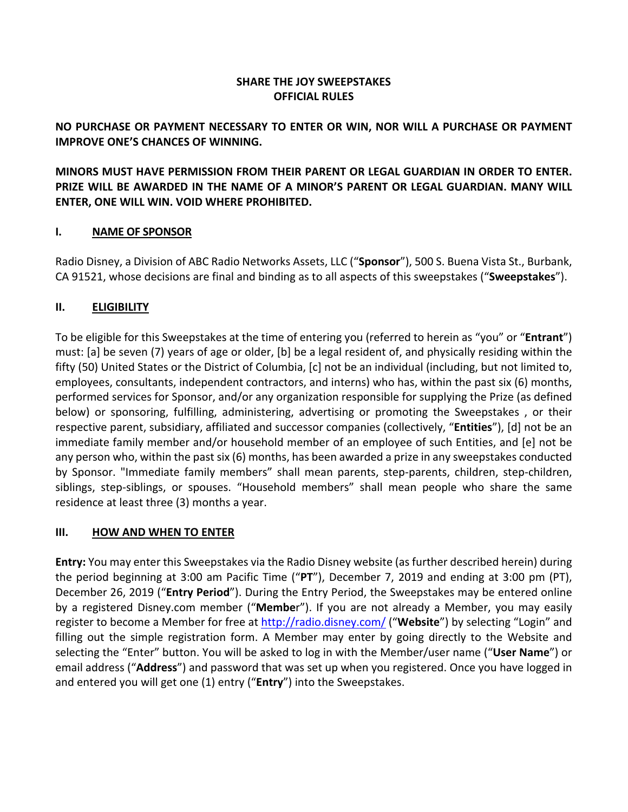## **SHARE THE JOY SWEEPSTAKES OFFICIAL RULES**

## **NO PURCHASE OR PAYMENT NECESSARY TO ENTER OR WIN, NOR WILL A PURCHASE OR PAYMENT IMPROVE ONE'S CHANCES OF WINNING.**

**MINORS MUST HAVE PERMISSION FROM THEIR PARENT OR LEGAL GUARDIAN IN ORDER TO ENTER. PRIZE WILL BE AWARDED IN THE NAME OF A MINOR'S PARENT OR LEGAL GUARDIAN. MANY WILL ENTER, ONE WILL WIN. VOID WHERE PROHIBITED.**

## **I. NAME OF SPONSOR**

Radio Disney, a Division of ABC Radio Networks Assets, LLC ("**Sponsor**"), 500 S. Buena Vista St., Burbank, CA 91521, whose decisions are final and binding as to all aspects of this sweepstakes ("**Sweepstakes**").

## **II. ELIGIBILITY**

To be eligible for this Sweepstakes at the time of entering you (referred to herein as "you" or "**Entrant**") must: [a] be seven (7) years of age or older, [b] be a legal resident of, and physically residing within the fifty (50) United States or the District of Columbia, [c] not be an individual (including, but not limited to, employees, consultants, independent contractors, and interns) who has, within the past six (6) months, performed services for Sponsor, and/or any organization responsible for supplying the Prize (as defined below) or sponsoring, fulfilling, administering, advertising or promoting the Sweepstakes , or their respective parent, subsidiary, affiliated and successor companies (collectively, "**Entities**"), [d] not be an immediate family member and/or household member of an employee of such Entities, and [e] not be any person who, within the past six (6) months, has been awarded a prize in any sweepstakes conducted by Sponsor. "Immediate family members" shall mean parents, step-parents, children, step-children, siblings, step-siblings, or spouses. "Household members" shall mean people who share the same residence at least three (3) months a year.

## **III. HOW AND WHEN TO ENTER**

**Entry:** You may enter this Sweepstakes via the Radio Disney website (as further described herein) during the period beginning at 3:00 am Pacific Time ("**PT**"), December 7, 2019 and ending at 3:00 pm (PT), December 26, 2019 ("**Entry Period**"). During the Entry Period, the Sweepstakes may be entered online by a registered Disney.com member ("**Membe**r"). If you are not already a Member, you may easily register to become a Member for free at http://radio.disney.com/ ("**Website**") by selecting "Login" and filling out the simple registration form. A Member may enter by going directly to the Website and selecting the "Enter" button. You will be asked to log in with the Member/user name ("**User Name**") or email address ("**Address**") and password that was set up when you registered. Once you have logged in and entered you will get one (1) entry ("**Entry**") into the Sweepstakes.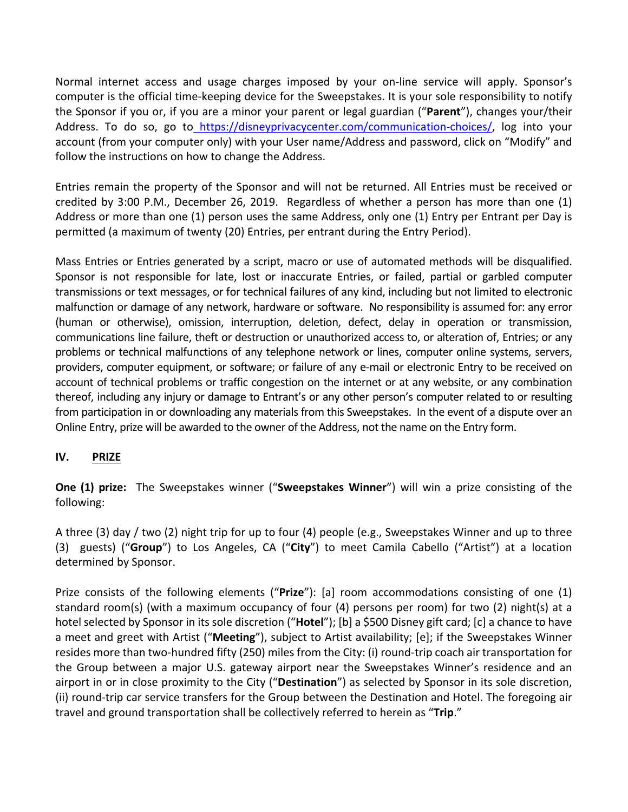Normal internet access and usage charges imposed by your on-line service will apply. Sponsor's computer is the official time-keeping device for the Sweepstakes. It is your sole responsibility to notify the Sponsor if you or, if you are a minor your parent or legal guardian ("**Parent**"), changes your/their Address. To do so, go to https://disneyprivacycenter.com/communication-choices/, log into your account (from your computer only) with your User name/Address and password, click on "Modify" and follow the instructions on how to change the Address.

Entries remain the property of the Sponsor and will not be returned. All Entries must be received or credited by 3:00 P.M., December 26, 2019. Regardless of whether a person has more than one (1) Address or more than one (1) person uses the same Address, only one (1) Entry per Entrant per Day is permitted (a maximum of twenty (20) Entries, per entrant during the Entry Period).

Mass Entries or Entries generated by a script, macro or use of automated methods will be disqualified. Sponsor is not responsible for late, lost or inaccurate Entries, or failed, partial or garbled computer transmissions or text messages, or for technical failures of any kind, including but not limited to electronic malfunction or damage of any network, hardware or software. No responsibility is assumed for: any error (human or otherwise), omission, interruption, deletion, defect, delay in operation or transmission, communications line failure, theft or destruction or unauthorized access to, or alteration of, Entries; or any problems or technical malfunctions of any telephone network or lines, computer online systems, servers, providers, computer equipment, or software; or failure of any e-mail or electronic Entry to be received on account of technical problems or traffic congestion on the internet or at any website, or any combination thereof, including any injury or damage to Entrant's or any other person's computer related to or resulting from participation in or downloading any materials from this Sweepstakes. In the event of a dispute over an Online Entry, prize will be awarded to the owner of the Address, not the name on the Entry form.

#### **IV. PRIZE**

**One (1) prize:** The Sweepstakes winner ("**Sweepstakes Winner**") will win a prize consisting of the following:

A three (3) day / two (2) night trip for up to four (4) people (e.g., Sweepstakes Winner and up to three (3) guests) ("**Group**") to Los Angeles, CA ("**City**") to meet Camila Cabello ("Artist") at a location determined by Sponsor.

Prize consists of the following elements ("**Prize**"): [a] room accommodations consisting of one (1) standard room(s) (with a maximum occupancy of four (4) persons per room) for two (2) night(s) at a hotel selected by Sponsor in its sole discretion ("**Hotel**"); [b] a \$500 Disney gift card; [c] a chance to have a meet and greet with Artist ("**Meeting**"), subject to Artist availability; [e]; if the Sweepstakes Winner resides more than two-hundred fifty (250) miles from the City: (i) round-trip coach air transportation for the Group between a major U.S. gateway airport near the Sweepstakes Winner's residence and an airport in or in close proximity to the City ("**Destination**") as selected by Sponsor in its sole discretion, (ii) round-trip car service transfers for the Group between the Destination and Hotel. The foregoing air travel and ground transportation shall be collectively referred to herein as "**Trip**."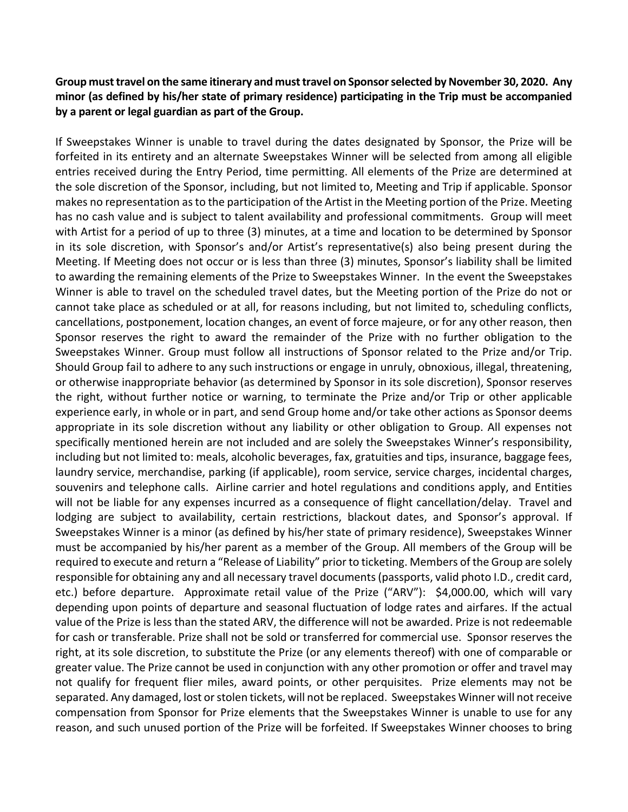### **Group must travel on the same itinerary and must travel on Sponsor selected by November 30, 2020. Any minor (as defined by his/her state of primary residence) participating in the Trip must be accompanied by a parent or legal guardian as part of the Group.**

If Sweepstakes Winner is unable to travel during the dates designated by Sponsor, the Prize will be forfeited in its entirety and an alternate Sweepstakes Winner will be selected from among all eligible entries received during the Entry Period, time permitting. All elements of the Prize are determined at the sole discretion of the Sponsor, including, but not limited to, Meeting and Trip if applicable. Sponsor makes no representation as to the participation of the Artist in the Meeting portion of the Prize. Meeting has no cash value and is subject to talent availability and professional commitments. Group will meet with Artist for a period of up to three (3) minutes, at a time and location to be determined by Sponsor in its sole discretion, with Sponsor's and/or Artist's representative(s) also being present during the Meeting. If Meeting does not occur or is less than three (3) minutes, Sponsor's liability shall be limited to awarding the remaining elements of the Prize to Sweepstakes Winner. In the event the Sweepstakes Winner is able to travel on the scheduled travel dates, but the Meeting portion of the Prize do not or cannot take place as scheduled or at all, for reasons including, but not limited to, scheduling conflicts, cancellations, postponement, location changes, an event of force majeure, or for any other reason, then Sponsor reserves the right to award the remainder of the Prize with no further obligation to the Sweepstakes Winner. Group must follow all instructions of Sponsor related to the Prize and/or Trip. Should Group fail to adhere to any such instructions or engage in unruly, obnoxious, illegal, threatening, or otherwise inappropriate behavior (as determined by Sponsor in its sole discretion), Sponsor reserves the right, without further notice or warning, to terminate the Prize and/or Trip or other applicable experience early, in whole or in part, and send Group home and/or take other actions as Sponsor deems appropriate in its sole discretion without any liability or other obligation to Group. All expenses not specifically mentioned herein are not included and are solely the Sweepstakes Winner's responsibility, including but not limited to: meals, alcoholic beverages, fax, gratuities and tips, insurance, baggage fees, laundry service, merchandise, parking (if applicable), room service, service charges, incidental charges, souvenirs and telephone calls. Airline carrier and hotel regulations and conditions apply, and Entities will not be liable for any expenses incurred as a consequence of flight cancellation/delay. Travel and lodging are subject to availability, certain restrictions, blackout dates, and Sponsor's approval. If Sweepstakes Winner is a minor (as defined by his/her state of primary residence), Sweepstakes Winner must be accompanied by his/her parent as a member of the Group. All members of the Group will be required to execute and return a "Release of Liability" prior to ticketing. Members of the Group are solely responsible for obtaining any and all necessary travel documents (passports, valid photo I.D., credit card, etc.) before departure. Approximate retail value of the Prize ("ARV"): \$4,000.00, which will vary depending upon points of departure and seasonal fluctuation of lodge rates and airfares. If the actual value of the Prize is less than the stated ARV, the difference will not be awarded. Prize is not redeemable for cash or transferable. Prize shall not be sold or transferred for commercial use. Sponsor reserves the right, at its sole discretion, to substitute the Prize (or any elements thereof) with one of comparable or greater value. The Prize cannot be used in conjunction with any other promotion or offer and travel may not qualify for frequent flier miles, award points, or other perquisites. Prize elements may not be separated. Any damaged, lost or stolen tickets, will not be replaced. Sweepstakes Winner will not receive compensation from Sponsor for Prize elements that the Sweepstakes Winner is unable to use for any reason, and such unused portion of the Prize will be forfeited. If Sweepstakes Winner chooses to bring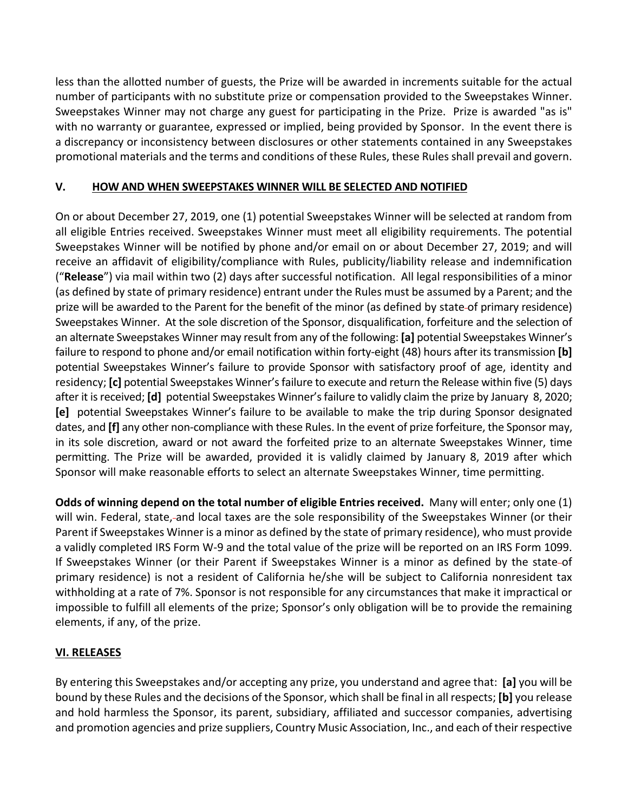less than the allotted number of guests, the Prize will be awarded in increments suitable for the actual number of participants with no substitute prize or compensation provided to the Sweepstakes Winner. Sweepstakes Winner may not charge any guest for participating in the Prize. Prize is awarded "as is" with no warranty or guarantee, expressed or implied, being provided by Sponsor. In the event there is a discrepancy or inconsistency between disclosures or other statements contained in any Sweepstakes promotional materials and the terms and conditions of these Rules, these Rules shall prevail and govern.

## **V. HOW AND WHEN SWEEPSTAKES WINNER WILL BE SELECTED AND NOTIFIED**

On or about December 27, 2019, one (1) potential Sweepstakes Winner will be selected at random from all eligible Entries received. Sweepstakes Winner must meet all eligibility requirements. The potential Sweepstakes Winner will be notified by phone and/or email on or about December 27, 2019; and will receive an affidavit of eligibility/compliance with Rules, publicity/liability release and indemnification ("**Release**") via mail within two (2) days after successful notification. All legal responsibilities of a minor (as defined by state of primary residence) entrant under the Rules must be assumed by a Parent; and the prize will be awarded to the Parent for the benefit of the minor (as defined by state of primary residence) Sweepstakes Winner. At the sole discretion of the Sponsor, disqualification, forfeiture and the selection of an alternate Sweepstakes Winner may result from any of the following: **[a]** potential Sweepstakes Winner's failure to respond to phone and/or email notification within forty-eight (48) hours after its transmission **[b]**  potential Sweepstakes Winner's failure to provide Sponsor with satisfactory proof of age, identity and residency; **[c]** potential Sweepstakes Winner's failure to execute and return the Release within five (5) days after it is received; **[d]** potential Sweepstakes Winner's failure to validly claim the prize by January 8, 2020; **[e]** potential Sweepstakes Winner's failure to be available to make the trip during Sponsor designated dates, and **[f]** any other non-compliance with these Rules. In the event of prize forfeiture, the Sponsor may, in its sole discretion, award or not award the forfeited prize to an alternate Sweepstakes Winner, time permitting. The Prize will be awarded, provided it is validly claimed by January 8, 2019 after which Sponsor will make reasonable efforts to select an alternate Sweepstakes Winner, time permitting.

**Odds of winning depend on the total number of eligible Entries received.** Many will enter; only one (1) will win. Federal, state, and local taxes are the sole responsibility of the Sweepstakes Winner (or their Parent if Sweepstakes Winner is a minor as defined by the state of primary residence), who must provide a validly completed IRS Form W-9 and the total value of the prize will be reported on an IRS Form 1099. If Sweepstakes Winner (or their Parent if Sweepstakes Winner is a minor as defined by the state of primary residence) is not a resident of California he/she will be subject to California nonresident tax withholding at a rate of 7%. Sponsor is not responsible for any circumstances that make it impractical or impossible to fulfill all elements of the prize; Sponsor's only obligation will be to provide the remaining elements, if any, of the prize.

# **VI. RELEASES**

By entering this Sweepstakes and/or accepting any prize, you understand and agree that: **[a]** you will be bound by these Rules and the decisions of the Sponsor, which shall be final in all respects; **[b]** you release and hold harmless the Sponsor, its parent, subsidiary, affiliated and successor companies, advertising and promotion agencies and prize suppliers, Country Music Association, Inc., and each of their respective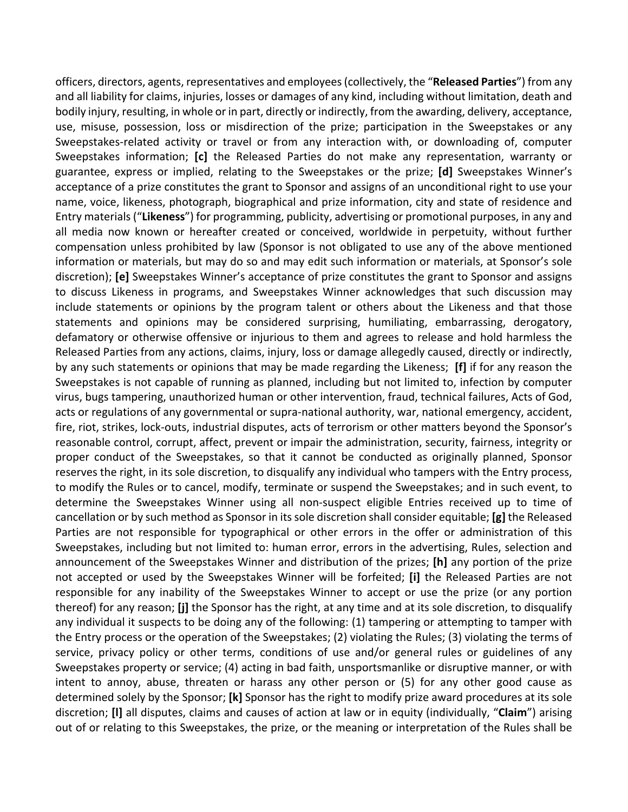officers, directors, agents, representatives and employees (collectively, the "**Released Parties**") from any and all liability for claims, injuries, losses or damages of any kind, including without limitation, death and bodily injury, resulting, in whole or in part, directly or indirectly, from the awarding, delivery, acceptance, use, misuse, possession, loss or misdirection of the prize; participation in the Sweepstakes or any Sweepstakes-related activity or travel or from any interaction with, or downloading of, computer Sweepstakes information; **[c]** the Released Parties do not make any representation, warranty or guarantee, express or implied, relating to the Sweepstakes or the prize; **[d]** Sweepstakes Winner's acceptance of a prize constitutes the grant to Sponsor and assigns of an unconditional right to use your name, voice, likeness, photograph, biographical and prize information, city and state of residence and Entry materials ("**Likeness**") for programming, publicity, advertising or promotional purposes, in any and all media now known or hereafter created or conceived, worldwide in perpetuity, without further compensation unless prohibited by law (Sponsor is not obligated to use any of the above mentioned information or materials, but may do so and may edit such information or materials, at Sponsor's sole discretion); **[e]** Sweepstakes Winner's acceptance of prize constitutes the grant to Sponsor and assigns to discuss Likeness in programs, and Sweepstakes Winner acknowledges that such discussion may include statements or opinions by the program talent or others about the Likeness and that those statements and opinions may be considered surprising, humiliating, embarrassing, derogatory, defamatory or otherwise offensive or injurious to them and agrees to release and hold harmless the Released Parties from any actions, claims, injury, loss or damage allegedly caused, directly or indirectly, by any such statements or opinions that may be made regarding the Likeness; **[f]** if for any reason the Sweepstakes is not capable of running as planned, including but not limited to, infection by computer virus, bugs tampering, unauthorized human or other intervention, fraud, technical failures, Acts of God, acts or regulations of any governmental or supra-national authority, war, national emergency, accident, fire, riot, strikes, lock-outs, industrial disputes, acts of terrorism or other matters beyond the Sponsor's reasonable control, corrupt, affect, prevent or impair the administration, security, fairness, integrity or proper conduct of the Sweepstakes, so that it cannot be conducted as originally planned, Sponsor reserves the right, in its sole discretion, to disqualify any individual who tampers with the Entry process, to modify the Rules or to cancel, modify, terminate or suspend the Sweepstakes; and in such event, to determine the Sweepstakes Winner using all non-suspect eligible Entries received up to time of cancellation or by such method as Sponsor in its sole discretion shall consider equitable; **[g]** the Released Parties are not responsible for typographical or other errors in the offer or administration of this Sweepstakes, including but not limited to: human error, errors in the advertising, Rules, selection and announcement of the Sweepstakes Winner and distribution of the prizes; **[h]** any portion of the prize not accepted or used by the Sweepstakes Winner will be forfeited; **[i]** the Released Parties are not responsible for any inability of the Sweepstakes Winner to accept or use the prize (or any portion thereof) for any reason; **[j]** the Sponsor has the right, at any time and at its sole discretion, to disqualify any individual it suspects to be doing any of the following: (1) tampering or attempting to tamper with the Entry process or the operation of the Sweepstakes; (2) violating the Rules; (3) violating the terms of service, privacy policy or other terms, conditions of use and/or general rules or guidelines of any Sweepstakes property or service; (4) acting in bad faith, unsportsmanlike or disruptive manner, or with intent to annoy, abuse, threaten or harass any other person or (5) for any other good cause as determined solely by the Sponsor; **[k]** Sponsor has the right to modify prize award procedures at its sole discretion; **[l]** all disputes, claims and causes of action at law or in equity (individually, "**Claim**") arising out of or relating to this Sweepstakes, the prize, or the meaning or interpretation of the Rules shall be